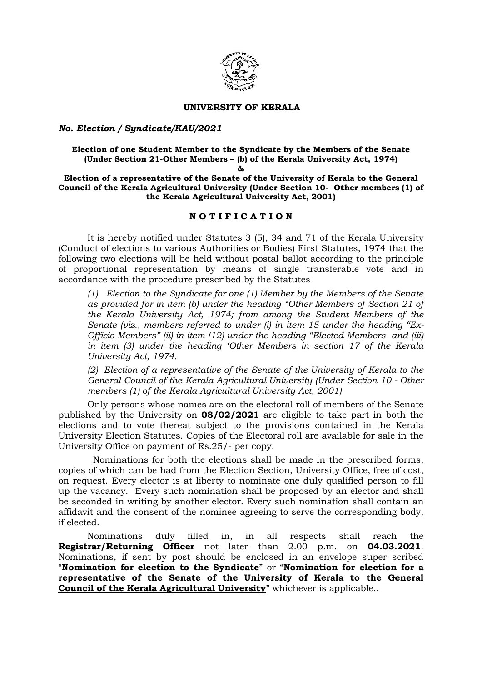

### UNIVERSITY OF KERALA

## No. Election / Syndicate/KAU/2021

#### Election of one Student Member to the Syndicate by the Members of the Senate (Under Section 21-Other Members – (b) of the Kerala University Act, 1974)  $R_{\rm E}$

Election of a representative of the Senate of the University of Kerala to the General Council of the Kerala Agricultural University (Under Section 10- Other members (1) of the Kerala Agricultural University Act, 2001)

# N O T I F I C A T I O N

 It is hereby notified under Statutes 3 (5), 34 and 71 of the Kerala University (Conduct of elections to various Authorities or Bodies) First Statutes, 1974 that the following two elections will be held without postal ballot according to the principle of proportional representation by means of single transferable vote and in accordance with the procedure prescribed by the Statutes

(1) Election to the Syndicate for one (1) Member by the Members of the Senate as provided for in item (b) under the heading "Other Members of Section 21 of the Kerala University Act, 1974; from among the Student Members of the Senate (viz., members referred to under (i) in item 15 under the heading  $"Ex-$ Officio Members" (ii) in item (12) under the heading "Elected Members and (iii) in item (3) under the heading 'Other Members in section 17 of the Kerala University Act, 1974.

(2) Election of a representative of the Senate of the University of Kerala to the General Council of the Kerala Agricultural University (Under Section 10 - Other members (1) of the Kerala Agricultural University Act, 2001)

Only persons whose names are on the electoral roll of members of the Senate published by the University on 08/02/2021 are eligible to take part in both the elections and to vote thereat subject to the provisions contained in the Kerala University Election Statutes. Copies of the Electoral roll are available for sale in the University Office on payment of Rs.25/- per copy.

 Nominations for both the elections shall be made in the prescribed forms, copies of which can be had from the Election Section, University Office, free of cost, on request. Every elector is at liberty to nominate one duly qualified person to fill up the vacancy. Every such nomination shall be proposed by an elector and shall be seconded in writing by another elector. Every such nomination shall contain an affidavit and the consent of the nominee agreeing to serve the corresponding body, if elected.

 Nominations duly filled in, in all respects shall reach the Registrar/Returning Officer not later than 2.00 p.m. on 04.03.2021. Nominations, if sent by post should be enclosed in an envelope super scribed "Nomination for election to the Syndicate" or "Nomination for election for a representative of the Senate of the University of Kerala to the General Council of the Kerala Agricultural University" whichever is applicable..